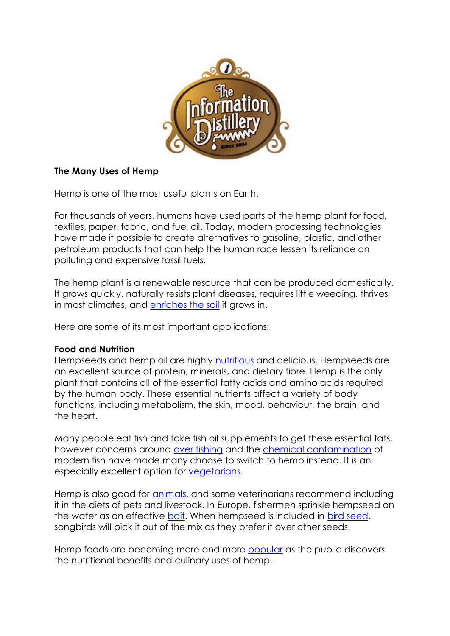

# **The Many Uses of Hemp**

Hemp is one of the most useful plants on Earth.

For thousands of years, humans have used parts of the hemp plant for food, textiles, paper, fabric, and fuel oil. Today, modern processing technologies have made it possible to create alternatives to gasoline, plastic, and other petroleum products that can help the human race lessen its reliance on polluting and expensive fossil fuels.

The hemp plant is a renewable resource that can be produced domestically. It grows quickly, naturally resists plant diseases, requires little weeding, thrives in most climates, and [enriches the soil](http://www.eap.mcgill.ca/CPH_3.htm) it grows in.

Here are some of its most important applications:

# **Food and Nutrition**

Hempseeds and hemp oil are highly [nutritious](http://www.ratical.org/renewables/hempseed1.html) and delicious. Hempseeds are an excellent source of protein, minerals, and dietary fibre. Hemp is the only plant that contains all of the essential fatty acids and amino acids required by the human body. These essential nutrients affect a variety of body functions, including metabolism, the skin, mood, behaviour, the brain, and the heart.

Many people eat fish and take fish oil supplements to get these essential fats, however concerns around [over fishing](http://oceans.greenpeace.org/en/our-oceans/overfishing) and the [chemical contamination](http://www.ffnmag.com/ASP/articleDisplay.asp?strArticleId=479) of modern fish have made many choose to switch to hemp instead. It is an especially excellent option for [vegetarians.](http://www.alive.com/3953a2a2.php)

Hemp is also good for [animals,](http://www.hemptons.co.za/Uses/Animal/HempForAnimals.htm) and some veterinarians recommend including it in the diets of pets and livestock. In Europe, fishermen sprinkle hempseed on the water as an effective [bait.](http://www.carp-passion.com/Bait/Hemp.htm) When hempseed is included in [bird seed,](http://www.cannabisculture.com/backissues/cc00/hempseedtreat.html) songbirds will pick it out of the mix as they prefer it over other seeds.

Hemp foods are becoming more and more [popular](http://www.msnbc.msn.com/id/16637630/) as the public discovers the nutritional benefits and culinary uses of hemp.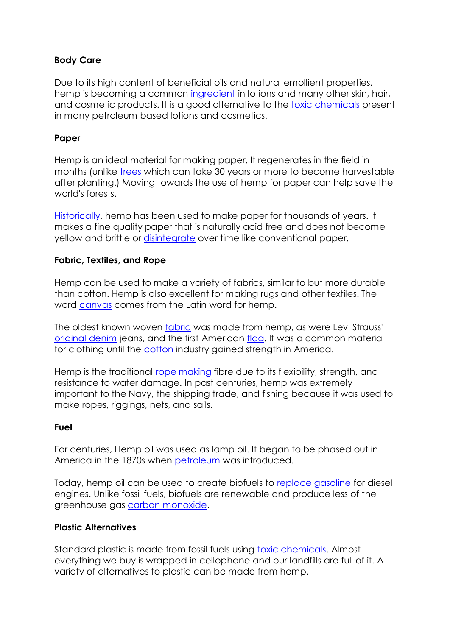# **Body Care**

Due to its high content of beneficial oils and natural emollient properties, hemp is becoming a common [ingredient](http://www.hempoilcan.com/benefits.html) in lotions and many other skin, hair, and cosmetic products. It is a good alternative to the [toxic chemicals](http://www.toxicfreelegacy.org/safecosmetics.html#bkgrd) present in many petroleum based lotions and cosmetics.

# **Paper**

Hemp is an ideal material for making paper. It regenerates in the field in months (unlike [trees](http://www.worldwatch.org/taxonomy/term/105) which can take 30 years or more to become harvestable after planting.) Moving towards the use of hemp for paper can help save the world's forests.

[Historically,](http://www.hempmuseum.org/SUBROOMS/HEMP%20PAPER%20CHRON.htm) hemp has been used to make paper for thousands of years. It makes a fine quality paper that is naturally acid free and does not become yellow and brittle or [disintegrate](http://www.loc.gov/preserv/deterioratebrochure.html) over time like conventional paper.

# **Fabric, Textiles, and Rope**

Hemp can be used to make a variety of fabrics, similar to but more durable than cotton. Hemp is also excellent for making rugs and other textiles. The word [canvas](http://www.m-w.com/dictionary/canvas) comes from the Latin word for hemp.

The oldest known woven [fabric](http://www.glenwoodsmith.com/hemphistorian/indquotes.html) was made from hemp, as were Levi Strauss' [original denim](http://www.taima.org/en/fibre.htm) jeans, and the first American [flag.](http://www.hempmuseum.org/SUBROOMS/HEMP%20U.S.%20FLAGS.htm) It was a common material for clothing until the [cotton](http://www.sdearthtimes.com/et0199/et0199s11.html) industry gained strength in America.

Hemp is the traditional [rope making](http://www.hempmuseum.org/ROOMS/ARM%20ROPE%20&%20TWINE.htm) fibre due to its flexibility, strength, and resistance to water damage. In past centuries, hemp was extremely important to the Navy, the shipping trade, and fishing because it was used to make ropes, riggings, nets, and sails.

# **Fuel**

For centuries, Hemp oil was used as lamp oil. It began to be phased out in America in the 1870s when [petroleum](http://www.jackherer.com/chapter09.html) was introduced.

Today, hemp oil can be used to create biofuels to [replace gasoline](http://www.hempcar.org/) for diesel engines. Unlike fossil fuels, biofuels are renewable and produce less of the greenhouse gas [carbon monoxide.](http://www.thehia.org/faqs/faq7.htm)

# **Plastic Alternatives**

Standard plastic is made from fossil fuels using [toxic chemicals.](http://www.hempplastic.com/newSite/hp_aboutplastics_additives.htm) Almost everything we buy is wrapped in cellophane and our landfills are full of it. A variety of alternatives to plastic can be made from hemp.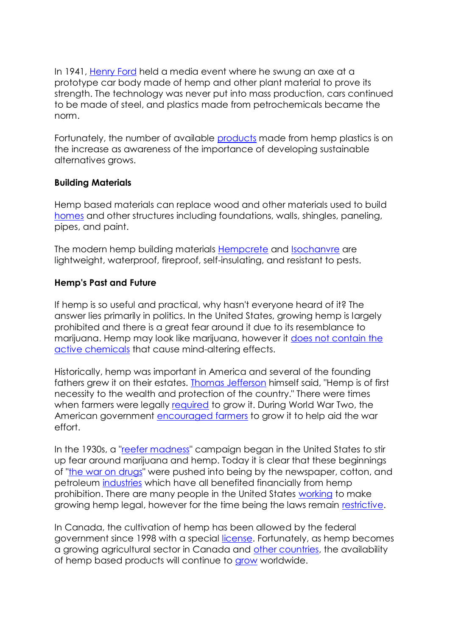In 1941, [Henry Ford](http://www.hempplastic.com/newSite/hp_aboutplastics_fordcar.htm) held a media event where he swung an axe at a prototype car body made of hemp and other plant material to prove its strength. The technology was never put into mass production, cars continued to be made of steel, and plastics made from petrochemicals became the norm.

Fortunately, the number of available [products](http://www.zelfoaustralia.com/en/zelfo-australia_material.php) made from hemp plastics is on the increase as awareness of the importance of developing sustainable alternatives grows.

#### **Building Materials**

Hemp based materials can replace wood and other materials used to build [homes](http://nutiva.com/about/media/2004_01_10.php) and other structures including foundations, walls, shingles, paneling, pipes, and paint.

The modern hemp building materials [Hempcrete](http://www.life.ca/nl/108/hemphouse.html) and [Isochanvre](http://www.suffolkhousing.org/pages/hemp5.html) are lightweight, waterproof, fireproof, self-insulating, and resistant to pests.

#### **Hemp's Past and Future**

If hemp is so useful and practical, why hasn't everyone heard of it? The answer lies primarily in politics. In the United States, growing hemp is largely prohibited and there is a great fear around it due to its resemblance to marijuana. Hemp may look like marijuana, however it [does not contain the](http://www.naihc.org/hemp_information/content/hemp.mj.html)  [active chemicals](http://www.naihc.org/hemp_information/content/hemp.mj.html) that cause mind-altering effects.

Historically, hemp was important in America and several of the founding fathers grew it on their estates. [Thomas Jefferson](http://www.hempcar.org/jefferson.shtml) himself said, "Hemp is of first necessity to the wealth and protection of the country." There were times when farmers were legally [required](http://www.naihc.org/hemp_information/hemp_facts.html) to grow it. During World War Two, the American government [encouraged farmers](http://www.archive.org/details/Hemp_for_victory_1942) to grow it to help aid the war effort.

In the 1930s, a ["reefer madness"](http://www.reefermadness.org/propaganda/rthages.html) campaign began in the United States to stir up fear around marijuana and hemp. Today it is clear that these beginnings of ["the war on drugs"](http://www.drugpolicy.org/drugwar/) were pushed into being by the newspaper, cotton, and petroleum [industries](http://www.beyondpeak.com/hemp-beyondpeak.html) which have all benefited financially from hemp prohibition. There are many people in the United States [working](http://www.votehemp.com/PR/01-15-07_nd_farmer.html) to make growing hemp legal, however for the time being the laws remain [restrictive.](http://www.glenwoodsmith.com/hemphistorian/industrial.html)

In Canada, the cultivation of hemp has been allowed by the federal government since 1998 with a special [license.](http://www.hc-sc.gc.ca/dhp-mps/substancontrol/hemp-chanvre/about-apropos/faq/index_e.html) Fortunately, as hemp becomes a growing agricultural sector in Canada and [other countries,](http://www.internationalhempassociation.org/) the availability of hemp based products will continue to [grow](http://www.businessedge.ca/article.cfm/newsID/14336.cfm) worldwide.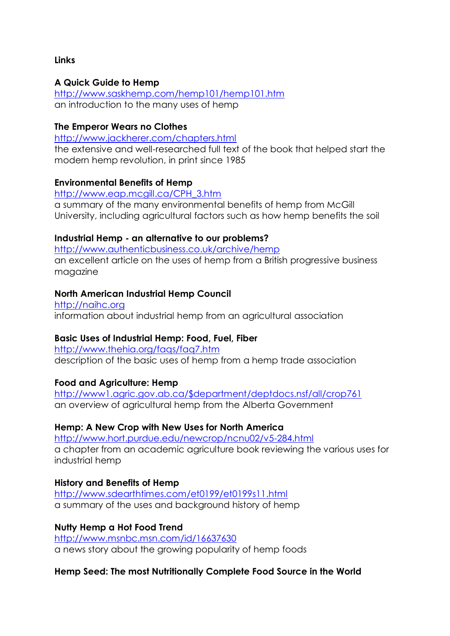#### **Links**

#### **A Quick Guide to Hemp**

<http://www.saskhemp.com/hemp101/hemp101.htm> an introduction to the many uses of hemp

#### **The Emperor Wears no Clothes**

<http://www.jackherer.com/chapters.html>

the extensive and well-researched full text of the book that helped start the modern hemp revolution, in print since 1985

#### **Environmental Benefits of Hemp**

[http://www.eap.mcgill.ca/CPH\\_3.htm](http://www.eap.mcgill.ca/CPH_3.htm) a summary of the many environmental benefits of hemp from McGill University, including agricultural factors such as how hemp benefits the soil

#### **Industrial Hemp - an alternative to our problems?**

<http://www.authenticbusiness.co.uk/archive/hemp> an excellent article on the uses of hemp from a British progressive business magazine

#### **North American Industrial Hemp Council**

[http://naihc.org](http://naihc.org/) information about industrial hemp from an agricultural association

# **Basic Uses of Industrial Hemp: Food, Fuel, Fiber**

<http://www.thehia.org/faqs/faq7.htm> description of the basic uses of hemp from a hemp trade association

# **Food and Agriculture: Hemp**

[http://www1.agric.gov.ab.ca/\\$department/deptdocs.nsf/all/crop761](http://www1.agric.gov.ab.ca/$department/deptdocs.nsf/all/crop761) an overview of agricultural hemp from the Alberta Government

# **Hemp: A New Crop with New Uses for North America**

<http://www.hort.purdue.edu/newcrop/ncnu02/v5-284.html> a chapter from an academic agriculture book reviewing the various uses for industrial hemp

# **History and Benefits of Hemp**

<http://www.sdearthtimes.com/et0199/et0199s11.html> a summary of the uses and background history of hemp

# **Nutty Hemp a Hot Food Trend**

[http://www.msnbc.msn.com/id/16637630](http://www.msnbc.msn.com/id/16637630/) a news story about the growing popularity of hemp foods

# **Hemp Seed: The most Nutritionally Complete Food Source in the World**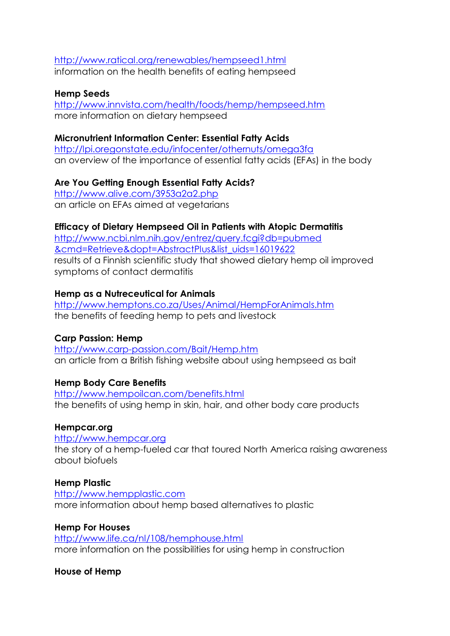# <http://www.ratical.org/renewables/hempseed1.html> information on the health benefits of eating hempseed

# **Hemp Seeds**

<http://www.innvista.com/health/foods/hemp/hempseed.htm> more information on dietary hempseed

# **Micronutrient Information Center: Essential Fatty Acids**

<http://lpi.oregonstate.edu/infocenter/othernuts/omega3fa> an overview of the importance of essential fatty acids (EFAs) in the body

# **Are You Getting Enough Essential Fatty Acids?**

<http://www.alive.com/3953a2a2.php> an article on EFAs aimed at vegetarians

# **Efficacy of Dietary Hempseed Oil in Patients with Atopic Dermatitis**

[http://www.ncbi.nlm.nih.gov/entrez/query.fcgi?db=pubmed](http://www.ncbi.nlm.nih.gov/entrez/query.fcgi?db=pubmed&cmd=Retrieve&dopt=AbstractPlus&list_uids=16019622) [&cmd=Retrieve&dopt=AbstractPlus&list\\_uids=16019622](http://www.ncbi.nlm.nih.gov/entrez/query.fcgi?db=pubmed&cmd=Retrieve&dopt=AbstractPlus&list_uids=16019622) results of a Finnish scientific study that showed dietary hemp oil improved symptoms of contact dermatitis

# **Hemp as a Nutreceutical for Animals**

<http://www.hemptons.co.za/Uses/Animal/HempForAnimals.htm> the benefits of feeding hemp to pets and livestock

# **Carp Passion: Hemp**

<http://www.carp-passion.com/Bait/Hemp.htm> an article from a British fishing website about using hempseed as bait

# **Hemp Body Care Benefits**

<http://www.hempoilcan.com/benefits.html> the benefits of using hemp in skin, hair, and other body care products

# **Hempcar.org**

[http://www.hempcar.org](http://www.hempcar.org/) the story of a hemp-fueled car that toured North America raising awareness about biofuels

# **Hemp Plastic**

[http://www.hempplastic.com](http://www.hempplastic.com/) more information about hemp based alternatives to plastic

#### **Hemp For Houses** <http://www.life.ca/nl/108/hemphouse.html> more information on the possibilities for using hemp in construction

# **House of Hemp**